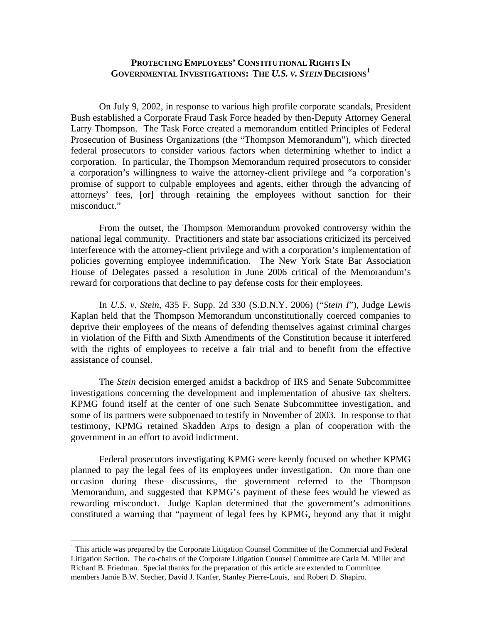## **PROTECTING EMPLOYEES' CONSTITUTIONAL RIGHTS IN GOVERNMENTAL INVESTIGATIONS: THE** *U.S. V. STEIN* **DECISIONS[1](#page-0-0)**

On July 9, 2002, in response to various high profile corporate scandals, President Bush established a Corporate Fraud Task Force headed by then-Deputy Attorney General Larry Thompson. The Task Force created a memorandum entitled Principles of Federal Prosecution of Business Organizations (the "Thompson Memorandum"), which directed federal prosecutors to consider various factors when determining whether to indict a corporation. In particular, the Thompson Memorandum required prosecutors to consider a corporation's willingness to waive the attorney-client privilege and "a corporation's promise of support to culpable employees and agents, either through the advancing of attorneys' fees, [or] through retaining the employees without sanction for their misconduct."

From the outset, the Thompson Memorandum provoked controversy within the national legal community. Practitioners and state bar associations criticized its perceived interference with the attorney-client privilege and with a corporation's implementation of policies governing employee indemnification. The New York State Bar Association House of Delegates passed a resolution in June 2006 critical of the Memorandum's reward for corporations that decline to pay defense costs for their employees.

In *U.S. v. Stein*, 435 F. Supp. 2d 330 (S.D.N.Y. 2006) ("*Stein I*"), Judge Lewis Kaplan held that the Thompson Memorandum unconstitutionally coerced companies to deprive their employees of the means of defending themselves against criminal charges in violation of the Fifth and Sixth Amendments of the Constitution because it interfered with the rights of employees to receive a fair trial and to benefit from the effective assistance of counsel.

The *Stein* decision emerged amidst a backdrop of IRS and Senate Subcommittee investigations concerning the development and implementation of abusive tax shelters. KPMG found itself at the center of one such Senate Subcommittee investigation, and some of its partners were subpoenaed to testify in November of 2003. In response to that testimony, KPMG retained Skadden Arps to design a plan of cooperation with the government in an effort to avoid indictment.

Federal prosecutors investigating KPMG were keenly focused on whether KPMG planned to pay the legal fees of its employees under investigation. On more than one occasion during these discussions, the government referred to the Thompson Memorandum, and suggested that KPMG's payment of these fees would be viewed as rewarding misconduct. Judge Kaplan determined that the government's admonitions constituted a warning that "payment of legal fees by KPMG, beyond any that it might

 $\overline{a}$ 

<span id="page-0-0"></span><sup>&</sup>lt;sup>1</sup> This article was prepared by the Corporate Litigation Counsel Committee of the Commercial and Federal Litigation Section. The co-chairs of the Corporate Litigation Counsel Committee are Carla M. Miller and Richard B. Friedman. Special thanks for the preparation of this article are extended to Committee members Jamie B.W. Stecher, David J. Kanfer, Stanley Pierre-Louis, and Robert D. Shapiro.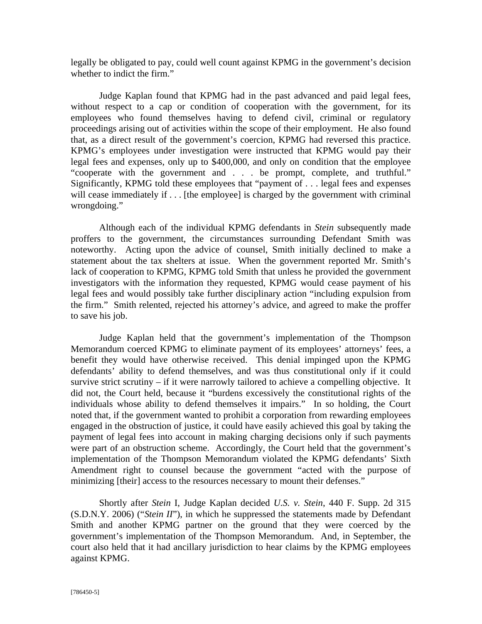legally be obligated to pay, could well count against KPMG in the government's decision whether to indict the firm."

Judge Kaplan found that KPMG had in the past advanced and paid legal fees, without respect to a cap or condition of cooperation with the government, for its employees who found themselves having to defend civil, criminal or regulatory proceedings arising out of activities within the scope of their employment. He also found that, as a direct result of the government's coercion, KPMG had reversed this practice. KPMG's employees under investigation were instructed that KPMG would pay their legal fees and expenses, only up to \$400,000, and only on condition that the employee "cooperate with the government and . . . be prompt, complete, and truthful." Significantly, KPMG told these employees that "payment of . . . legal fees and expenses will cease immediately if . . . [the employee] is charged by the government with criminal wrongdoing."

Although each of the individual KPMG defendants in *Stein* subsequently made proffers to the government, the circumstances surrounding Defendant Smith was noteworthy. Acting upon the advice of counsel, Smith initially declined to make a statement about the tax shelters at issue. When the government reported Mr. Smith's lack of cooperation to KPMG, KPMG told Smith that unless he provided the government investigators with the information they requested, KPMG would cease payment of his legal fees and would possibly take further disciplinary action "including expulsion from the firm." Smith relented, rejected his attorney's advice, and agreed to make the proffer to save his job.

Judge Kaplan held that the government's implementation of the Thompson Memorandum coerced KPMG to eliminate payment of its employees' attorneys' fees, a benefit they would have otherwise received. This denial impinged upon the KPMG defendants' ability to defend themselves, and was thus constitutional only if it could survive strict scrutiny – if it were narrowly tailored to achieve a compelling objective. It did not, the Court held, because it "burdens excessively the constitutional rights of the individuals whose ability to defend themselves it impairs." In so holding, the Court noted that, if the government wanted to prohibit a corporation from rewarding employees engaged in the obstruction of justice, it could have easily achieved this goal by taking the payment of legal fees into account in making charging decisions only if such payments were part of an obstruction scheme. Accordingly, the Court held that the government's implementation of the Thompson Memorandum violated the KPMG defendants' Sixth Amendment right to counsel because the government "acted with the purpose of minimizing [their] access to the resources necessary to mount their defenses."

Shortly after *Stein* I, Judge Kaplan decided *U.S. v. Stein*, 440 F. Supp. 2d 315 (S.D.N.Y. 2006) ("*Stein II*"), in which he suppressed the statements made by Defendant Smith and another KPMG partner on the ground that they were coerced by the government's implementation of the Thompson Memorandum. And, in September, the court also held that it had ancillary jurisdiction to hear claims by the KPMG employees against KPMG.